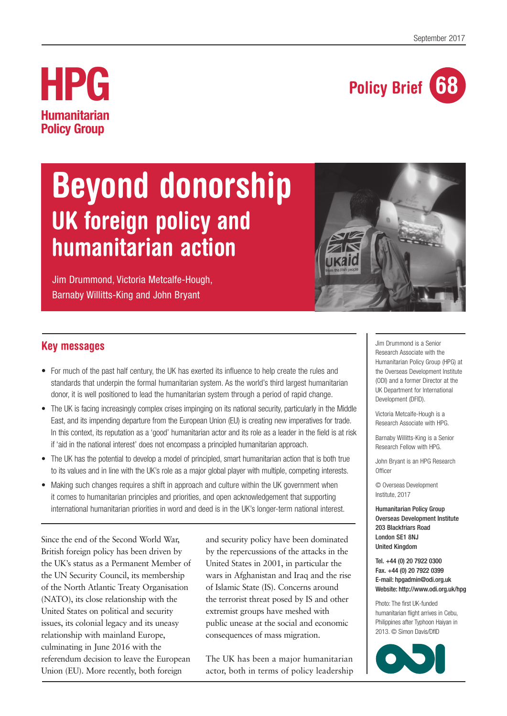

# **HPG Humanitarian Policy Group**

# **Beyond donorship UK foreign policy and humanitarian action**

Jim Drummond, Victoria Metcalfe-Hough, Barnaby Willitts-King and John Bryant



## **Key messages**

- For much of the past half century, the UK has exerted its influence to help create the rules and standards that underpin the formal humanitarian system. As the world's third largest humanitarian donor, it is well positioned to lead the humanitarian system through a period of rapid change.
- The UK is facing increasingly complex crises impinging on its national security, particularly in the Middle East, and its impending departure from the European Union (EU) is creating new imperatives for trade. In this context, its reputation as a 'good' humanitarian actor and its role as a leader in the field is at risk if 'aid in the national interest' does not encompass a principled humanitarian approach.
- The UK has the potential to develop a model of principled, smart humanitarian action that is both true to its values and in line with the UK's role as a major global player with multiple, competing interests.
- Making such changes requires a shift in approach and culture within the UK government when it comes to humanitarian principles and priorities, and open acknowledgement that supporting international humanitarian priorities in word and deed is in the UK's longer-term national interest.

Since the end of the Second World War, British foreign policy has been driven by the UK's status as a Permanent Member of the UN Security Council, its membership of the North Atlantic Treaty Organisation (NATO), its close relationship with the United States on political and security issues, its colonial legacy and its uneasy relationship with mainland Europe, culminating in June 2016 with the referendum decision to leave the European Union (EU). More recently, both foreign

and security policy have been dominated by the repercussions of the attacks in the United States in 2001, in particular the wars in Afghanistan and Iraq and the rise of Islamic State (IS). Concerns around the terrorist threat posed by IS and other extremist groups have meshed with public unease at the social and economic consequences of mass migration.

The UK has been a major humanitarian actor, both in terms of policy leadership

Jim Drummond is a Senior Research Associate with the Humanitarian Policy Group (HPG) at the Overseas Development Institute (ODI) and a former Director at the UK Department for International Development (DFID).

Victoria Metcalfe-Hough is a Research Associate with HPG.

Barnaby Willitts-King is a Senior Research Fellow with HPG.

John Bryant is an HPG Research **Officer** 

© Overseas Development Institute, 2017

Humanitarian Policy Group Overseas Development Institute 203 Blackfriars Road London SE1 8NJ United Kingdom

Tel. +44 (0) 20 7922 0300 Fax. +44 (0) 20 7922 0399 E-mail: hpgadmin@odi.org.uk Website: http://www.odi.org.uk/hpg

Photo: The first UK-funded humanitarian flight arrives in Cebu, Philippines after Typhoon Haiyan in 2013. © Simon Davis/DfID

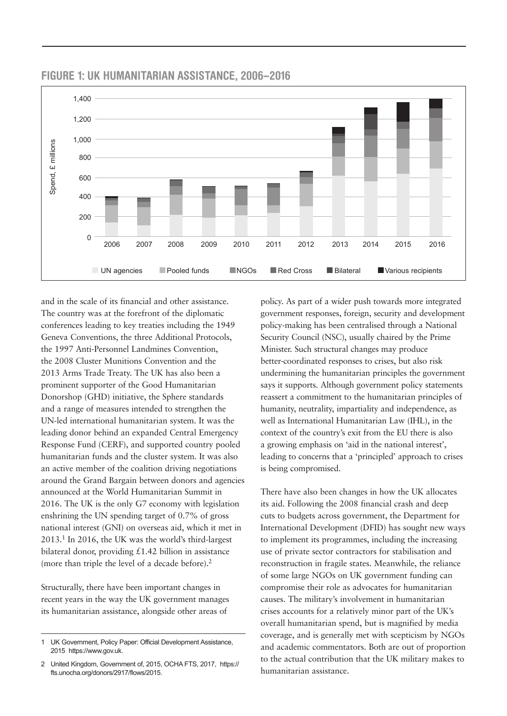

### **FIGURE 1: UK HUMANITARIAN ASSISTANCE, 2006–2016**

and in the scale of its financial and other assistance. The country was at the forefront of the diplomatic conferences leading to key treaties including the 1949 Geneva Conventions, the three Additional Protocols, the 1997 Anti-Personnel Landmines Convention, the 2008 Cluster Munitions Convention and the 2013 Arms Trade Treaty. The UK has also been a prominent supporter of the Good Humanitarian Donorshop (GHD) initiative, the Sphere standards and a range of measures intended to strengthen the UN-led international humanitarian system. It was the leading donor behind an expanded Central Emergency Response Fund (CERF), and supported country pooled humanitarian funds and the cluster system. It was also an active member of the coalition driving negotiations around the Grand Bargain between donors and agencies announced at the World Humanitarian Summit in 2016. The UK is the only G7 economy with legislation enshrining the UN spending target of 0.7% of gross national interest (GNI) on overseas aid, which it met in 2013.1 In 2016, the UK was the world's third-largest bilateral donor, providing £1.42 billion in assistance (more than triple the level of a decade before).2

Structurally, there have been important changes in recent years in the way the UK government manages its humanitarian assistance, alongside other areas of

policy. As part of a wider push towards more integrated government responses, foreign, security and development policy-making has been centralised through a National Security Council (NSC), usually chaired by the Prime Minister. Such structural changes may produce better-coordinated responses to crises, but also risk undermining the humanitarian principles the government says it supports. Although government policy statements reassert a commitment to the humanitarian principles of humanity, neutrality, impartiality and independence, as well as International Humanitarian Law (IHL), in the context of the country's exit from the EU there is also a growing emphasis on 'aid in the national interest', leading to concerns that a 'principled' approach to crises is being compromised.

There have also been changes in how the UK allocates its aid. Following the 2008 financial crash and deep cuts to budgets across government, the Department for International Development (DFID) has sought new ways to implement its programmes, including the increasing use of private sector contractors for stabilisation and reconstruction in fragile states. Meanwhile, the reliance of some large NGOs on UK government funding can compromise their role as advocates for humanitarian causes. The military's involvement in humanitarian crises accounts for a relatively minor part of the UK's overall humanitarian spend, but is magnified by media coverage, and is generally met with scepticism by NGOs and academic commentators. Both are out of proportion to the actual contribution that the UK military makes to humanitarian assistance.

<sup>1</sup> UK Government, Policy Paper: Official Development Assistance, 2015 https://www.gov.uk.

<sup>2</sup> United Kingdom, Government of, 2015, OCHA FTS, 2017, https:// fts.unocha.org/donors/2917/flows/2015.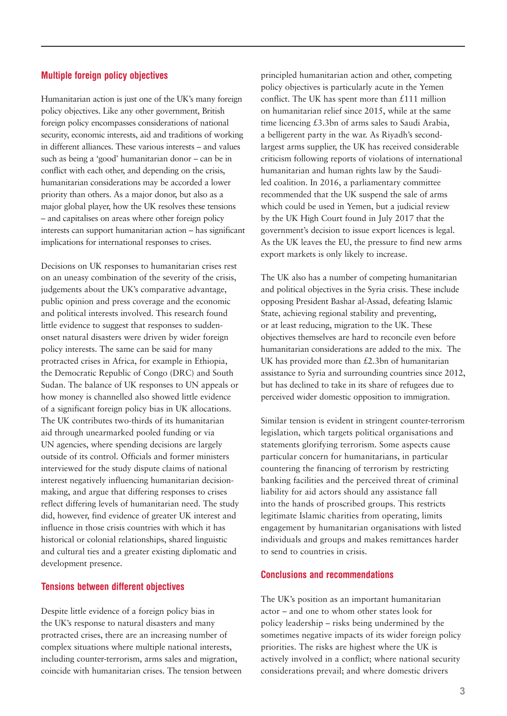#### **Multiple foreign policy objectives**

Humanitarian action is just one of the UK's many foreign policy objectives. Like any other government, British foreign policy encompasses considerations of national security, economic interests, aid and traditions of working in different alliances. These various interests – and values such as being a 'good' humanitarian donor – can be in conflict with each other, and depending on the crisis, humanitarian considerations may be accorded a lower priority than others. As a major donor, but also as a major global player, how the UK resolves these tensions – and capitalises on areas where other foreign policy interests can support humanitarian action – has significant implications for international responses to crises.

Decisions on UK responses to humanitarian crises rest on an uneasy combination of the severity of the crisis, judgements about the UK's comparative advantage, public opinion and press coverage and the economic and political interests involved. This research found little evidence to suggest that responses to suddenonset natural disasters were driven by wider foreign policy interests. The same can be said for many protracted crises in Africa, for example in Ethiopia, the Democratic Republic of Congo (DRC) and South Sudan. The balance of UK responses to UN appeals or how money is channelled also showed little evidence of a significant foreign policy bias in UK allocations. The UK contributes two-thirds of its humanitarian aid through unearmarked pooled funding or via UN agencies, where spending decisions are largely outside of its control. Officials and former ministers interviewed for the study dispute claims of national interest negatively influencing humanitarian decisionmaking, and argue that differing responses to crises reflect differing levels of humanitarian need. The study did, however, find evidence of greater UK interest and influence in those crisis countries with which it has historical or colonial relationships, shared linguistic and cultural ties and a greater existing diplomatic and development presence.

#### **Tensions between different objectives**

Despite little evidence of a foreign policy bias in the UK's response to natural disasters and many protracted crises, there are an increasing number of complex situations where multiple national interests, including counter-terrorism, arms sales and migration, coincide with humanitarian crises. The tension between principled humanitarian action and other, competing policy objectives is particularly acute in the Yemen conflict. The UK has spent more than £111 million on humanitarian relief since 2015, while at the same time licencing £3.3bn of arms sales to Saudi Arabia, a belligerent party in the war. As Riyadh's secondlargest arms supplier, the UK has received considerable criticism following reports of violations of international humanitarian and human rights law by the Saudiled coalition. In 2016, a parliamentary committee recommended that the UK suspend the sale of arms which could be used in Yemen, but a judicial review by the UK High Court found in July 2017 that the government's decision to issue export licences is legal. As the UK leaves the EU, the pressure to find new arms export markets is only likely to increase.

The UK also has a number of competing humanitarian and political objectives in the Syria crisis. These include opposing President Bashar al-Assad, defeating Islamic State, achieving regional stability and preventing, or at least reducing, migration to the UK. These objectives themselves are hard to reconcile even before humanitarian considerations are added to the mix. The UK has provided more than £2.3bn of humanitarian assistance to Syria and surrounding countries since 2012, but has declined to take in its share of refugees due to perceived wider domestic opposition to immigration.

Similar tension is evident in stringent counter-terrorism legislation, which targets political organisations and statements glorifying terrorism. Some aspects cause particular concern for humanitarians, in particular countering the financing of terrorism by restricting banking facilities and the perceived threat of criminal liability for aid actors should any assistance fall into the hands of proscribed groups. This restricts legitimate Islamic charities from operating, limits engagement by humanitarian organisations with listed individuals and groups and makes remittances harder to send to countries in crisis.

#### **Conclusions and recommendations**

The UK's position as an important humanitarian actor – and one to whom other states look for policy leadership – risks being undermined by the sometimes negative impacts of its wider foreign policy priorities. The risks are highest where the UK is actively involved in a conflict; where national security considerations prevail; and where domestic drivers